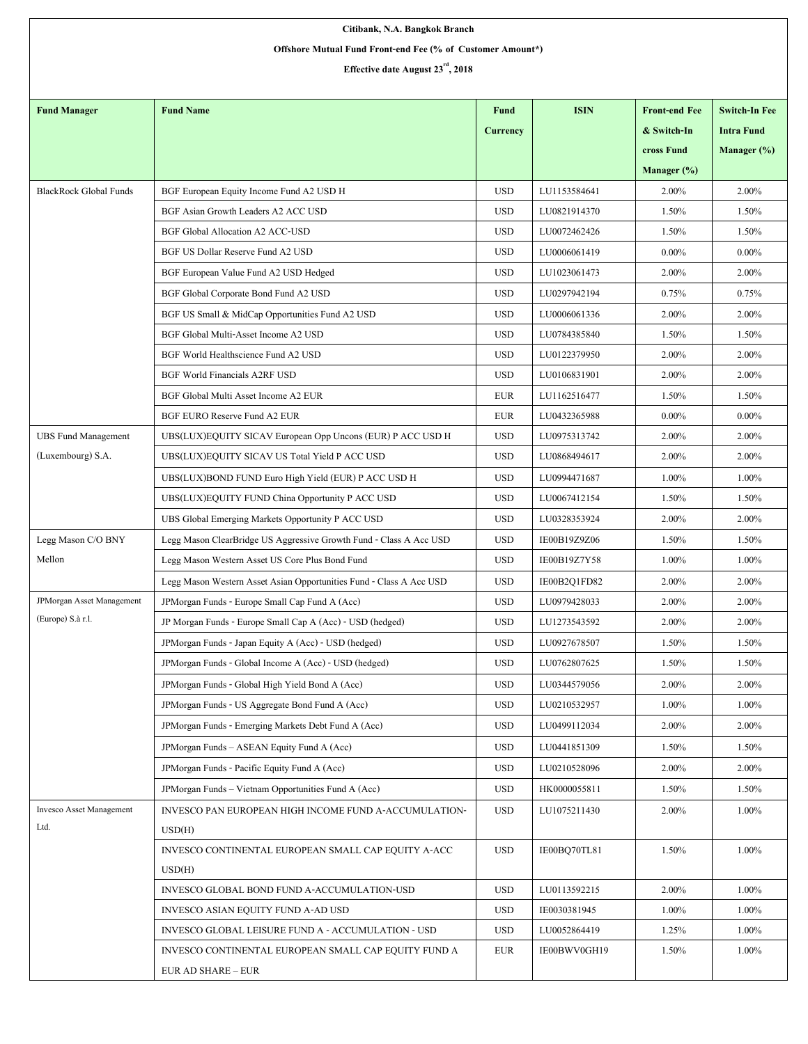| Citibank, N.A. Bangkok Branch                              |                                                                     |                 |              |                      |                      |  |  |  |  |
|------------------------------------------------------------|---------------------------------------------------------------------|-----------------|--------------|----------------------|----------------------|--|--|--|--|
| Offshore Mutual Fund Front-end Fee (% of Customer Amount*) |                                                                     |                 |              |                      |                      |  |  |  |  |
| Effective date August $23^{rd}$ , 2018                     |                                                                     |                 |              |                      |                      |  |  |  |  |
|                                                            |                                                                     |                 |              |                      |                      |  |  |  |  |
| <b>Fund Manager</b>                                        | <b>Fund Name</b>                                                    | Fund            | <b>ISIN</b>  | <b>Front-end Fee</b> | <b>Switch-In Fee</b> |  |  |  |  |
|                                                            |                                                                     | <b>Currency</b> |              | & Switch-In          | <b>Intra Fund</b>    |  |  |  |  |
|                                                            |                                                                     |                 |              | cross Fund           | Manager (%)          |  |  |  |  |
|                                                            |                                                                     |                 |              | Manager $(\%)$       |                      |  |  |  |  |
| <b>BlackRock Global Funds</b>                              | BGF European Equity Income Fund A2 USD H                            | <b>USD</b>      | LU1153584641 | 2.00%                | 2.00%                |  |  |  |  |
|                                                            | BGF Asian Growth Leaders A2 ACC USD                                 | <b>USD</b>      | LU0821914370 | 1.50%                | 1.50%                |  |  |  |  |
|                                                            | <b>BGF Global Allocation A2 ACC-USD</b>                             | <b>USD</b>      | LU0072462426 | 1.50%                | 1.50%                |  |  |  |  |
|                                                            | BGF US Dollar Reserve Fund A2 USD                                   | <b>USD</b>      | LU0006061419 | $0.00\%$             | $0.00\%$             |  |  |  |  |
|                                                            | BGF European Value Fund A2 USD Hedged                               | <b>USD</b>      | LU1023061473 | 2.00%                | 2.00%                |  |  |  |  |
|                                                            | BGF Global Corporate Bond Fund A2 USD                               | <b>USD</b>      | LU0297942194 | 0.75%                | 0.75%                |  |  |  |  |
|                                                            | BGF US Small & MidCap Opportunities Fund A2 USD                     | <b>USD</b>      | LU0006061336 | 2.00%                | 2.00%                |  |  |  |  |
|                                                            | BGF Global Multi-Asset Income A2 USD                                | <b>USD</b>      | LU0784385840 | 1.50%                | 1.50%                |  |  |  |  |
|                                                            | BGF World Healthscience Fund A2 USD                                 | <b>USD</b>      | LU0122379950 | 2.00%                | 2.00%                |  |  |  |  |
|                                                            | <b>BGF World Financials A2RF USD</b>                                | <b>USD</b>      | LU0106831901 | 2.00%                | 2.00%                |  |  |  |  |
|                                                            | BGF Global Multi Asset Income A2 EUR                                | <b>EUR</b>      | LU1162516477 | 1.50%                | 1.50%                |  |  |  |  |
|                                                            | BGF EURO Reserve Fund A2 EUR                                        | <b>EUR</b>      | LU0432365988 | $0.00\%$             | $0.00\%$             |  |  |  |  |
| <b>UBS Fund Management</b>                                 | UBS(LUX)EQUITY SICAV European Opp Uncons (EUR) P ACC USD H          | <b>USD</b>      | LU0975313742 | 2.00%                | 2.00%                |  |  |  |  |
| (Luxembourg) S.A.                                          | UBS(LUX)EQUITY SICAV US Total Yield P ACC USD                       | <b>USD</b>      | LU0868494617 | 2.00%                | 2.00%                |  |  |  |  |
|                                                            | UBS(LUX)BOND FUND Euro High Yield (EUR) P ACC USD H                 | <b>USD</b>      | LU0994471687 | 1.00%                | 1.00%                |  |  |  |  |
|                                                            | UBS(LUX)EQUITY FUND China Opportunity P ACC USD                     | <b>USD</b>      | LU0067412154 | 1.50%                | 1.50%                |  |  |  |  |
|                                                            | UBS Global Emerging Markets Opportunity P ACC USD                   | <b>USD</b>      | LU0328353924 | 2.00%                | 2.00%                |  |  |  |  |
| Legg Mason C/O BNY                                         | Legg Mason ClearBridge US Aggressive Growth Fund - Class A Acc USD  | <b>USD</b>      | IE00B19Z9Z06 | 1.50%                | 1.50%                |  |  |  |  |
| Mellon                                                     | Legg Mason Western Asset US Core Plus Bond Fund                     | <b>USD</b>      | IE00B19Z7Y58 | 1.00%                | 1.00%                |  |  |  |  |
|                                                            | Legg Mason Western Asset Asian Opportunities Fund - Class A Acc USD | <b>USD</b>      | IE00B2Q1FD82 | 2.00%                | 2.00%                |  |  |  |  |
| JPMorgan Asset Management                                  | JPM organ Funds - Europe Small Cap Fund A (Acc)                     | <b>USD</b>      | LU0979428033 | 2.00%                | 2.00%                |  |  |  |  |
| (Europe) S.à r.l.                                          | JP Morgan Funds - Europe Small Cap A (Acc) - USD (hedged)           | <b>USD</b>      | LU1273543592 | 2.00%                | 2.00%                |  |  |  |  |
|                                                            | JPMorgan Funds - Japan Equity A (Acc) - USD (hedged)                | <b>USD</b>      | LU0927678507 | 1.50%                | 1.50%                |  |  |  |  |
|                                                            | JPM organ Funds - Global Income A (Acc) - USD (hedged)              | <b>USD</b>      | LU0762807625 | 1.50%                | 1.50%                |  |  |  |  |
|                                                            | JPM organ Funds - Global High Yield Bond A (Acc)                    | <b>USD</b>      | LU0344579056 | 2.00%                | 2.00%                |  |  |  |  |
|                                                            | JPM organ Funds - US Aggregate Bond Fund A (Acc)                    | <b>USD</b>      | LU0210532957 | 1.00%                | 1.00%                |  |  |  |  |
|                                                            | JPMorgan Funds - Emerging Markets Debt Fund A (Acc)                 | <b>USD</b>      | LU0499112034 | 2.00%                | 2.00%                |  |  |  |  |
|                                                            | JPMorgan Funds - ASEAN Equity Fund A (Acc)                          | <b>USD</b>      | LU0441851309 | 1.50%                | 1.50%                |  |  |  |  |
|                                                            | JPM organ Funds - Pacific Equity Fund A (Acc)                       | <b>USD</b>      | LU0210528096 | 2.00%                | 2.00%                |  |  |  |  |
|                                                            | JPMorgan Funds – Vietnam Opportunities Fund A (Acc)                 | <b>USD</b>      | HK0000055811 | 1.50%                | 1.50%                |  |  |  |  |
| Invesco Asset Management                                   | INVESCO PAN EUROPEAN HIGH INCOME FUND A-ACCUMULATION-               | <b>USD</b>      | LU1075211430 | 2.00%                | 1.00%                |  |  |  |  |
| Ltd.                                                       | USD(H)                                                              |                 |              |                      |                      |  |  |  |  |
|                                                            | INVESCO CONTINENTAL EUROPEAN SMALL CAP EQUITY A-ACC                 | <b>USD</b>      | IE00BQ70TL81 | 1.50%                | 1.00%                |  |  |  |  |
|                                                            | USD(H)                                                              |                 |              |                      |                      |  |  |  |  |
|                                                            | INVESCO GLOBAL BOND FUND A-ACCUMULATION-USD                         | <b>USD</b>      | LU0113592215 | 2.00%                | 1.00%                |  |  |  |  |
|                                                            | INVESCO ASIAN EQUITY FUND A-AD USD                                  | <b>USD</b>      | IE0030381945 | 1.00%                | $1.00\%$             |  |  |  |  |
|                                                            | INVESCO GLOBAL LEISURE FUND A - ACCUMULATION - USD                  | <b>USD</b>      | LU0052864419 | 1.25%                | $1.00\%$             |  |  |  |  |
|                                                            | INVESCO CONTINENTAL EUROPEAN SMALL CAP EQUITY FUND A                | EUR             | IE00BWV0GH19 | 1.50%                | 1.00%                |  |  |  |  |
|                                                            | <b>EUR AD SHARE - EUR</b>                                           |                 |              |                      |                      |  |  |  |  |